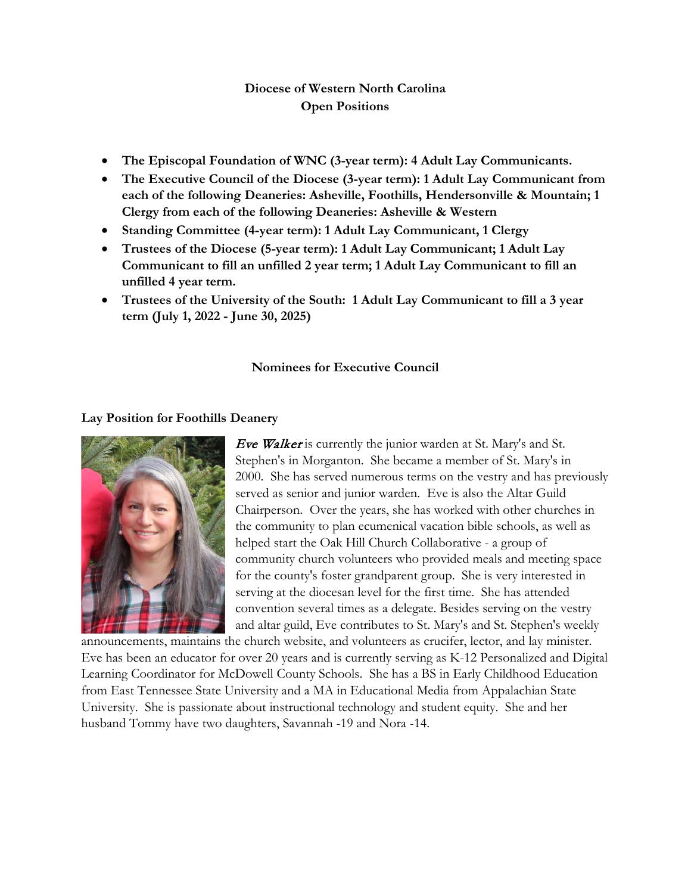# **Diocese of Western North Carolina Open Positions**

- **The Episcopal Foundation of WNC (3-year term): 4 Adult Lay Communicants.**
- **The Executive Council of the Diocese (3-year term): 1 Adult Lay Communicant from each of the following Deaneries: Asheville, Foothills, Hendersonville & Mountain; 1 Clergy from each of the following Deaneries: Asheville & Western**
- **Standing Committee (4-year term): 1 Adult Lay Communicant, 1 Clergy**
- **Trustees of the Diocese (5-year term): 1 Adult Lay Communicant; 1 Adult Lay Communicant to fill an unfilled 2 year term; 1 Adult Lay Communicant to fill an unfilled 4 year term.**
- **Trustees of the University of the South: 1 Adult Lay Communicant to fill a 3 year term (July 1, 2022 - June 30, 2025)**

### **Nominees for Executive Council**

### **Lay Position for Foothills Deanery**



Eve Walker is currently the junior warden at St. Mary's and St. Stephen's in Morganton. She became a member of St. Mary's in 2000. She has served numerous terms on the vestry and has previously served as senior and junior warden. Eve is also the Altar Guild Chairperson. Over the years, she has worked with other churches in the community to plan ecumenical vacation bible schools, as well as helped start the Oak Hill Church Collaborative - a group of community church volunteers who provided meals and meeting space for the county's foster grandparent group. She is very interested in serving at the diocesan level for the first time. She has attended convention several times as a delegate. Besides serving on the vestry and altar guild, Eve contributes to St. Mary's and St. Stephen's weekly

announcements, maintains the church website, and volunteers as crucifer, lector, and lay minister. Eve has been an educator for over 20 years and is currently serving as K-12 Personalized and Digital Learning Coordinator for McDowell County Schools. She has a BS in Early Childhood Education from East Tennessee State University and a MA in Educational Media from Appalachian State University. She is passionate about instructional technology and student equity. She and her husband Tommy have two daughters, Savannah -19 and Nora -14.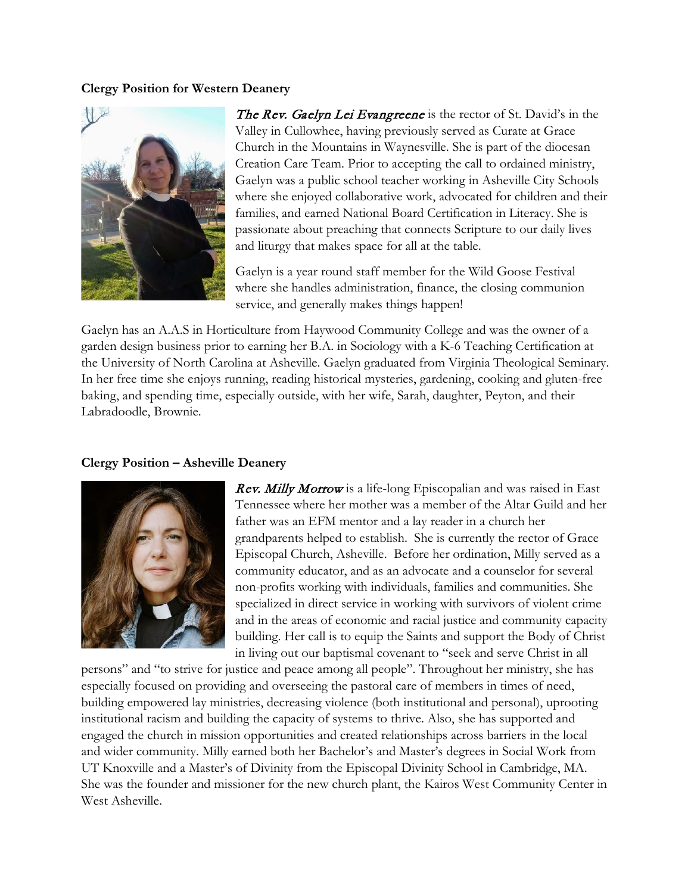#### **Clergy Position for Western Deanery**



The Rev. Gaelyn Lei Evangreene is the rector of St. David's in the Valley in Cullowhee, having previously served as Curate at Grace Church in the Mountains in Waynesville. She is part of the diocesan Creation Care Team. Prior to accepting the call to ordained ministry, Gaelyn was a public school teacher working in Asheville City Schools where she enjoyed collaborative work, advocated for children and their families, and earned National Board Certification in Literacy. She is passionate about preaching that connects Scripture to our daily lives and liturgy that makes space for all at the table.

Gaelyn is a year round staff member for the Wild Goose Festival where she handles administration, finance, the closing communion service, and generally makes things happen!

Gaelyn has an A.A.S in Horticulture from Haywood Community College and was the owner of a garden design business prior to earning her B.A. in Sociology with a K-6 Teaching Certification at the University of North Carolina at Asheville. Gaelyn graduated from Virginia Theological Seminary. In her free time she enjoys running, reading historical mysteries, gardening, cooking and gluten-free baking, and spending time, especially outside, with her wife, Sarah, daughter, Peyton, and their Labradoodle, Brownie.

### **Clergy Position – Asheville Deanery**



**Rev. Milly Morrow** is a life-long Episcopalian and was raised in East Tennessee where her mother was a member of the Altar Guild and her father was an EFM mentor and a lay reader in a church her grandparents helped to establish. She is currently the rector of Grace Episcopal Church, Asheville. Before her ordination, Milly served as a community educator, and as an advocate and a counselor for several non-profits working with individuals, families and communities. She specialized in direct service in working with survivors of violent crime and in the areas of economic and racial justice and community capacity building. Her call is to equip the Saints and support the Body of Christ in living out our baptismal covenant to "seek and serve Christ in all

persons" and "to strive for justice and peace among all people". Throughout her ministry, she has especially focused on providing and overseeing the pastoral care of members in times of need, building empowered lay ministries, decreasing violence (both institutional and personal), uprooting institutional racism and building the capacity of systems to thrive. Also, she has supported and engaged the church in mission opportunities and created relationships across barriers in the local and wider community. Milly earned both her Bachelor's and Master's degrees in Social Work from UT Knoxville and a Master's of Divinity from the Episcopal Divinity School in Cambridge, MA. She was the founder and missioner for the new church plant, the Kairos West Community Center in West Asheville.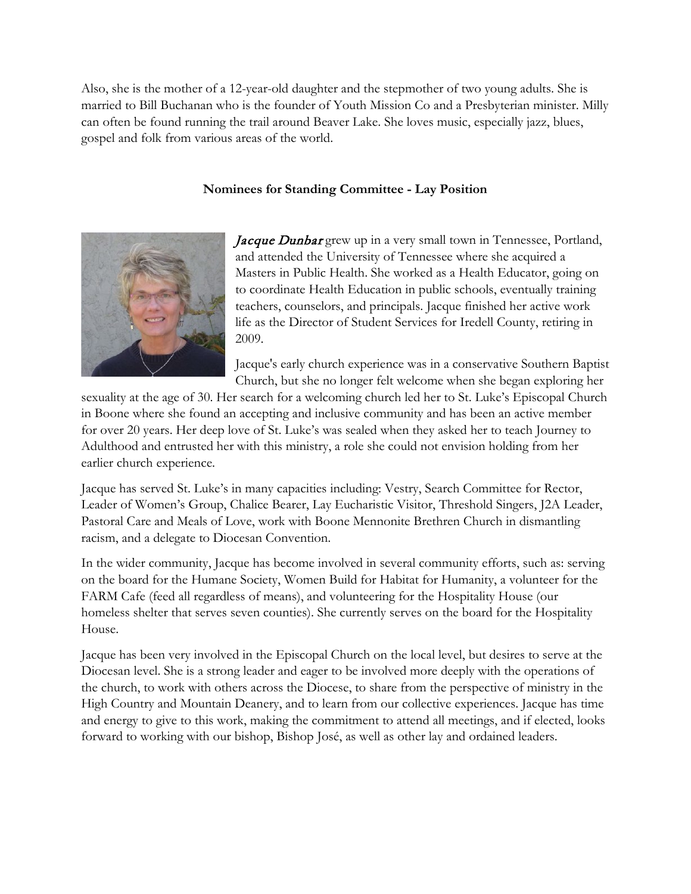Also, she is the mother of a 12-year-old daughter and the stepmother of two young adults. She is married to Bill Buchanan who is the founder of Youth Mission Co and a Presbyterian minister. Milly can often be found running the trail around Beaver Lake. She loves music, especially jazz, blues, gospel and folk from various areas of the world.

## **Nominees for Standing Committee - Lay Position**



Jacque Dunbar grew up in a very small town in Tennessee, Portland, and attended the University of Tennessee where she acquired a Masters in Public Health. She worked as a Health Educator, going on to coordinate Health Education in public schools, eventually training teachers, counselors, and principals. Jacque finished her active work life as the Director of Student Services for Iredell County, retiring in 2009.

Jacque's early church experience was in a conservative Southern Baptist Church, but she no longer felt welcome when she began exploring her

sexuality at the age of 30. Her search for a welcoming church led her to St. Luke's Episcopal Church in Boone where she found an accepting and inclusive community and has been an active member for over 20 years. Her deep love of St. Luke's was sealed when they asked her to teach Journey to Adulthood and entrusted her with this ministry, a role she could not envision holding from her earlier church experience.

Jacque has served St. Luke's in many capacities including: Vestry, Search Committee for Rector, Leader of Women's Group, Chalice Bearer, Lay Eucharistic Visitor, Threshold Singers, J2A Leader, Pastoral Care and Meals of Love, work with Boone Mennonite Brethren Church in dismantling racism, and a delegate to Diocesan Convention.

In the wider community, Jacque has become involved in several community efforts, such as: serving on the board for the Humane Society, Women Build for Habitat for Humanity, a volunteer for the FARM Cafe (feed all regardless of means), and volunteering for the Hospitality House (our homeless shelter that serves seven counties). She currently serves on the board for the Hospitality House.

Jacque has been very involved in the Episcopal Church on the local level, but desires to serve at the Diocesan level. She is a strong leader and eager to be involved more deeply with the operations of the church, to work with others across the Diocese, to share from the perspective of ministry in the High Country and Mountain Deanery, and to learn from our collective experiences. Jacque has time and energy to give to this work, making the commitment to attend all meetings, and if elected, looks forward to working with our bishop, Bishop José, as well as other lay and ordained leaders.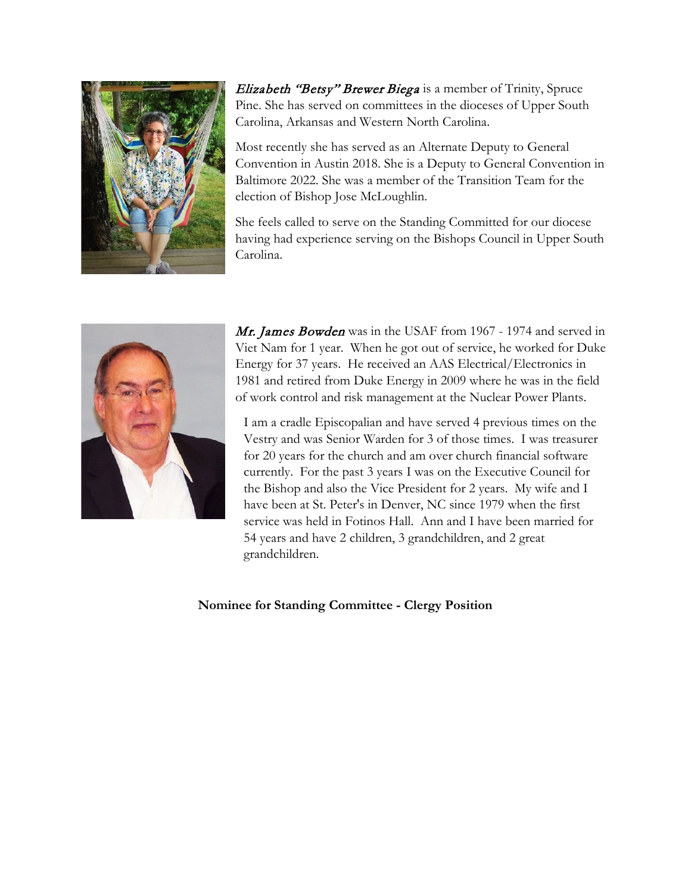

Elizabeth "Betsy" Brewer Biega is a member of Trinity, Spruce Pine. She has served on committees in the dioceses of Upper South Carolina, Arkansas and Western North Carolina.

Most recently she has served as an Alternate Deputy to General Convention in Austin 2018. She is a Deputy to General Convention in Baltimore 2022. She was a member of the Transition Team for the election of Bishop Jose McLoughlin.

She feels called to serve on the Standing Committed for our diocese having had experience serving on the Bishops Council in Upper South Carolina.



Mr. James Bowden was in the USAF from 1967 - 1974 and served in Viet Nam for 1 year. When he got out of service, he worked for Duke Energy for 37 years. He received an AAS Electrical/Electronics in 1981 and retired from Duke Energy in 2009 where he was in the field of work control and risk management at the Nuclear Power Plants.

I am a cradle Episcopalian and have served 4 previous times on the Vestry and was Senior Warden for 3 of those times. I was treasurer for 20 years for the church and am over church financial software currently. For the past 3 years I was on the Executive Council for the Bishop and also the Vice President for 2 years. My wife and I have been at St. Peter's in Denver, NC since 1979 when the first service was held in Fotinos Hall. Ann and I have been married for 54 years and have 2 children, 3 grandchildren, and 2 great grandchildren.

**Nominee for Standing Committee - Clergy Position**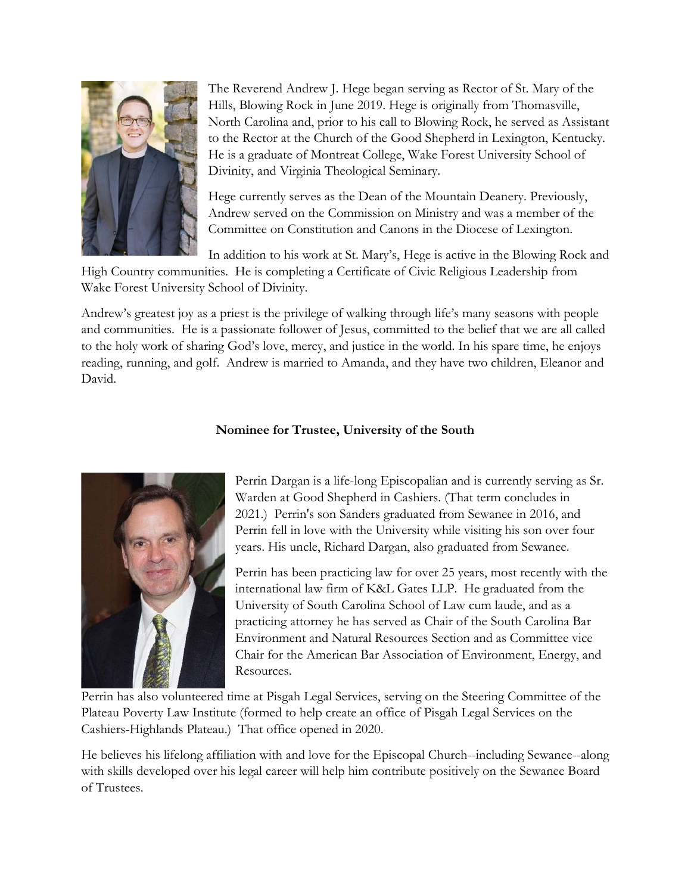

The Reverend Andrew J. Hege began serving as Rector of St. Mary of the Hills, Blowing Rock in June 2019. Hege is originally from Thomasville, North Carolina and, prior to his call to Blowing Rock, he served as Assistant to the Rector at the Church of the Good Shepherd in Lexington, Kentucky. He is a graduate of Montreat College, Wake Forest University School of Divinity, and Virginia Theological Seminary.

Hege currently serves as the Dean of the Mountain Deanery. Previously, Andrew served on the Commission on Ministry and was a member of the Committee on Constitution and Canons in the Diocese of Lexington.

In addition to his work at St. Mary's, Hege is active in the Blowing Rock and

High Country communities. He is completing a Certificate of Civic Religious Leadership from Wake Forest University School of Divinity.

Andrew's greatest joy as a priest is the privilege of walking through life's many seasons with people and communities. He is a passionate follower of Jesus, committed to the belief that we are all called to the holy work of sharing God's love, mercy, and justice in the world. In his spare time, he enjoys reading, running, and golf. Andrew is married to Amanda, and they have two children, Eleanor and David.

## **Nominee for Trustee, University of the South**



Perrin Dargan is a life-long Episcopalian and is currently serving as Sr. Warden at Good Shepherd in Cashiers. (That term concludes in 2021.) Perrin's son Sanders graduated from Sewanee in 2016, and Perrin fell in love with the University while visiting his son over four years. His uncle, Richard Dargan, also graduated from Sewanee.

Perrin has been practicing law for over 25 years, most recently with the international law firm of K&L Gates LLP. He graduated from the University of South Carolina School of Law cum laude, and as a practicing attorney he has served as Chair of the South Carolina Bar Environment and Natural Resources Section and as Committee vice Chair for the American Bar Association of Environment, Energy, and Resources.

Perrin has also volunteered time at Pisgah Legal Services, serving on the Steering Committee of the Plateau Poverty Law Institute (formed to help create an office of Pisgah Legal Services on the Cashiers-Highlands Plateau.) That office opened in 2020.

He believes his lifelong affiliation with and love for the Episcopal Church--including Sewanee--along with skills developed over his legal career will help him contribute positively on the Sewanee Board of Trustees.